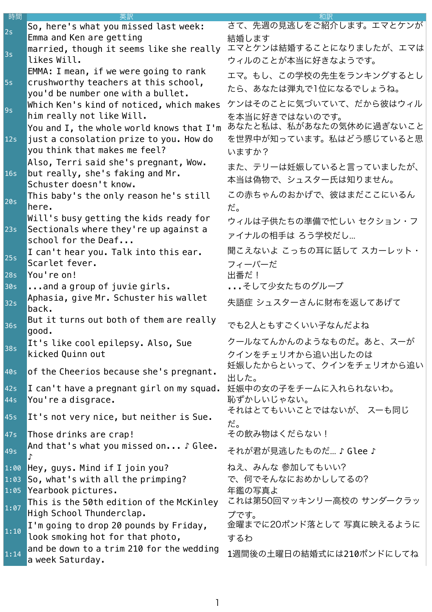| 時間   |                                                                                | 和訳                           |
|------|--------------------------------------------------------------------------------|------------------------------|
| 2s   | So, here's what you missed last week:                                          | さて、先週の見逃しをご紹介します。エマとケンが      |
|      | Emma and Ken are getting                                                       | 結婚します                        |
| 3s   | married, though it seems like she really                                       | エマとケンは結婚することになりましたが、エマは      |
|      | likes Will.                                                                    | ウィルのことが本当に好きなようです。           |
|      | EMMA: I mean, if we were going to rank                                         | エマ。もし、この学校の先生をランキングするとし      |
| 5s   | crushworthy teachers at this school,                                           | たら、あなたは弾丸で1位になるでしょうね。        |
|      | you'd be number one with a bullet.<br>Which Ken's kind of noticed, which makes | ケンはそのことに気づいていて、だから彼はウィル      |
| 9s   | him really not like Will.                                                      | を本当に好きではないのです。               |
|      | You and I, the whole world knows that I'm                                      | あなたと私は、私があなたの気休めに過ぎないこと      |
| 12s  | just a consolation prize to you. How do                                        | を世界中が知っています。私はどう感じていると思      |
|      | you think that makes me feel?                                                  | いますか?                        |
|      | Also, Terri said she's pregnant, Wow.                                          |                              |
| 16s  | but really, she's faking and Mr.                                               | また、テリーは妊娠していると言っていましたが、      |
|      | Schuster doesn't know.                                                         | 本当は偽物で、シュスター氏は知りません。         |
|      | This baby's the only reason he's still                                         | この赤ちゃんのおかげで、彼はまだここにいるん       |
| 20s  | here.                                                                          | だ。                           |
|      | Will's busy getting the kids ready for                                         | ウィルは子供たちの準備で忙しい セクション・フ      |
| 23s  | Sectionals where they're up against a                                          | ァイナルの相手は ろう学校だし              |
|      | school for the Deaf                                                            |                              |
| 25s  | I can't hear you. Talk into this ear.                                          | 聞こえないよ こっちの耳に話して スカーレット・     |
|      | Scarlet fever.                                                                 | フィーバーだ                       |
| 28s  | You're on!                                                                     | 出番だ!                         |
| 30s  | and a group of juvie girls.                                                    | そして少女たちのグループ                 |
| 32s  | Aphasia, give Mr. Schuster his wallet<br>back.                                 | 失語症 シュスターさんに財布を返してあげて        |
|      | But it turns out both of them are really                                       |                              |
| 36s  | good.                                                                          | でも2人ともすごくいい子なんだよね            |
| 38s  | It's like cool epilepsy. Also, Sue                                             | クールなてんかんのようなものだ。あと、スーが       |
|      | kicked Quinn out                                                               | クインをチェリオから追い出したのは            |
| 40s  | of the Cheerios because she's pregnant.                                        | 妊娠したからといって、クインをチェリオから追い      |
|      |                                                                                | 出した。                         |
| 42s  | I can't have a pregnant girl on my squad.                                      | 妊娠中の女の子をチームに入れられないわ。         |
| 44s  | You're a disgrace.                                                             | 恥ずかしいじゃない。                   |
| 45s  | It's not very nice, but neither is Sue.                                        | それはとてもいいことではないが、 スーも同じ<br>だ。 |
| 47s  | Those drinks are crap!                                                         | その飲み物はくだらない!                 |
| 49s  | And that's what you missed on J Glee.                                          | それが君が見逃したものだ…♪ Glee♪         |
| 1:00 | Hey, guys. Mind if I join you?                                                 | ねえ、みんな 参加してもいい?              |
| 1:03 | So, what's with all the primping?                                              | で、何でそんなにおめかししてるの?            |
| 1:05 | Yearbook pictures.                                                             | 年鑑の写真よ                       |
| 1:07 | This is the 50th edition of the McKinley                                       | これは第50回マッキンリー高校の サンダークラッ     |
|      | High School Thunderclap.                                                       | プです。                         |
| 1:10 | I'm going to drop 20 pounds by Friday,                                         | 金曜までに20ポンド落として 写真に映えるように     |
|      | look smoking hot for that photo,                                               | するわ                          |
| 1:14 | and be down to a trim 210 for the wedding                                      | 1週間後の土曜日の結婚式には210ポンドにしてね     |
|      | a week Saturday.                                                               |                              |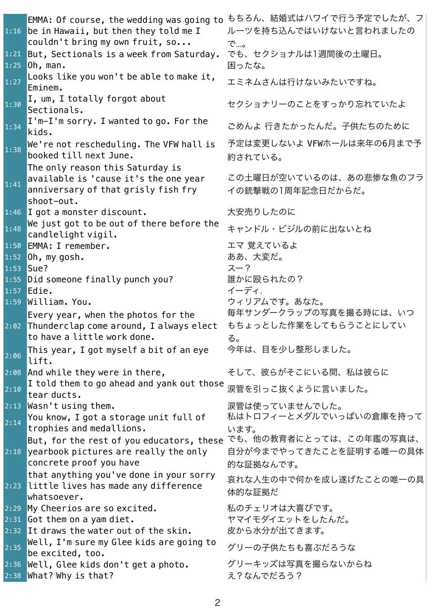|           | EMMA: Of course, the wedding was going to                                        | もちろん、結婚式はハワイで行う予定でしたが、フ                |
|-----------|----------------------------------------------------------------------------------|----------------------------------------|
|           | 1:16 be in Hawaii, but then they told me I                                       | ルーツを持ち込んではいけないと言われましたの                 |
|           | couldn't bring my own fruit, so                                                  | で…。                                    |
| 1:21      | But, Sectionals is a week from Saturday.                                         | でも、セクショナルは1週間後の土曜日。                    |
|           | $1:25$ Oh, man.                                                                  | 困ったな。                                  |
|           | Looks like you won't be able to make it,                                         |                                        |
| 1:27      | Eminem.                                                                          | エミネムさんは行けないみたいですね。                     |
|           | I, um, I totally forgot about                                                    |                                        |
| 1:30      | Sectionals.                                                                      | セクショナリーのことをすっかり忘れていたよ                  |
| 1:34      | $I'm-I'm$ sorry. I wanted to go. For the                                         | ごめんよ 行きたかったんだ。子供たちのために                 |
|           | kids.                                                                            |                                        |
| 1:38      | We're not rescheduling. The VFW hall is                                          | 予定は変更しないよ VFWホールは来年の6月まで予              |
|           | booked till next June.                                                           | 約されている。                                |
|           | The only reason this Saturday is                                                 |                                        |
| 1:41      | available is 'cause it's the one year                                            | この土曜日が空いているのは、あの悲惨な魚のフラ                |
|           | anniversary of that grisly fish fry                                              | イの銃撃戦の1周年記念日だからだ。                      |
|           | shoot-out.                                                                       |                                        |
|           | 1:46 I got a monster discount.                                                   | 大安売りしたのに                               |
| 1:48      | We just got to be out of there before the                                        | キャンドル・ビジルの前に出ないとね                      |
|           | candlelight vigil.                                                               |                                        |
|           | 1:50 EMMA: I remember.                                                           | エマ 覚えているよ                              |
|           | $1:52$ Oh, my gosh.                                                              | ああ、大変だ。                                |
| 1:53 Sue? |                                                                                  | スー?                                    |
|           | 1:55 Did someone finally punch you?                                              | 誰かに殴られたの?                              |
|           | $1:57$ Edie.                                                                     | イーディ.                                  |
|           | 1:59 William. You.                                                               | ウィリアムです。あなた。<br>毎年サンダークラップの写真を撮る時には、いつ |
|           | Every year, when the photos for the                                              |                                        |
|           | 2:02 Thunderclap come around, I always elect                                     | もちょっとした作業をしてもらうことにしてい                  |
|           | to have a little work done.                                                      | る。                                     |
| 2:06      | This year, I got myself a bit of an eye                                          | 今年は、目を少し整形しました。                        |
|           | lift.                                                                            |                                        |
|           | 2:08 And while they were in there,<br>I told them to go ahead and yank out those | そして、彼らがそこにいる間、私は彼らに                    |
| 2:10      | tear ducts.                                                                      | 涙管を引っこ抜くように言いました。                      |
|           | 2:13 Wasn't using them.                                                          | 涙管は使っていませんでした。                         |
| 2:14      | You know, I got a storage unit full of                                           | 私はトロフィーとメダルでいっぱいの倉庫を持って                |
|           | trophies and medallions.                                                         | います。                                   |
|           | But, for the rest of you educators, these                                        | でも、他の教育者にとっては、この年鑑の写真は、                |
|           | 2:18 yearbook pictures are really the only                                       | 自分が今までやってきたことを証明する唯一の具体                |
|           | concrete proof you have                                                          | 的な証拠なんです。                              |
|           | that anything you've done in your sorry                                          | 哀れな人生の中で何かを成し遂げたことの唯一の具                |
|           | 2:23 little lives has made any difference                                        | 体的な証拠だ                                 |
|           | whatsoever.                                                                      |                                        |
| 2:29      | My Cheerios are so excited.                                                      | 私のチェリオは大喜びです。                          |
|           | $2:31$ Got them on a yam diet.                                                   | ヤマイモダイエットをしたんだ。                        |
|           | 2:32 It draws the water out of the skin.                                         | 皮から水分が出てきます。                           |
| 2:35      | Well, I'm sure my Glee kids are going to<br>be excited, too.                     | グリーの子供たちも喜ぶだろうな                        |
|           | 2:36 Well, Glee kids don't get a photo.                                          | グリーキッズは写真を撮らないからね                      |
|           | 2:38 What? Why is that?                                                          | え?なんでだろう?                              |
|           |                                                                                  |                                        |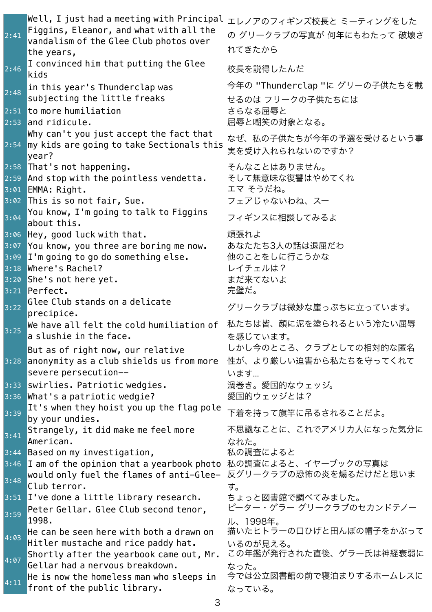| 2:41 | Well, I just had a meeting with Principal ェレノアのフィギンズ校長と ミーティングをした<br>Figgins, Eleanor, and what with all the<br>vandalism of the Glee Club photos over<br>the years, | の グリークラブの写真が 何年にもわたって 破壊さ<br>れてきたから                         |
|------|----------------------------------------------------------------------------------------------------------------------------------------------------------------------|-------------------------------------------------------------|
| 2:46 | I convinced him that putting the Glee<br>kids                                                                                                                        | 校長を説得したんだ                                                   |
| 2:48 | in this year's Thunderclap was<br>subjecting the little freaks                                                                                                       | 今年の "Thunderclap "に グリーの子供たちを載<br>せるのは フリークの子供たちには          |
|      | $2:51$ to more humiliation<br>$2:53$ and ridicule.                                                                                                                   | さらなる屈辱と<br>屈辱と嘲笑の対象となる。                                     |
|      | Why can't you just accept the fact that<br>2:54 my kids are going to take Sectionals this<br>year?                                                                   | なぜ、私の子供たちが今年の予選を受けるという事<br>実を受け入れられないのですか?                  |
|      | 2:58 That's not happening.<br>$2:59$ And stop with the pointless vendetta.<br>3:01 EMMA: Right.<br>3:02 This is so not fair, Sue.                                    | そんなことはありません。<br>そして無意味な復讐はやめてくれ<br>エマ そうだね。<br>フェアじゃないわね、スー |
| 3:04 | You know, I'm going to talk to Figgins<br>about this.                                                                                                                | フィギンスに相談してみるよ                                               |
|      | 3:06 Hey, good luck with that.<br>3:07 You know, you three are boring me now.<br>$3:09$ I'm going to go do something else.<br>3:18 Where's Rachel?                   | 頑張れよ<br>あなたたち3人の話は退屈だわ<br>他のことをしに行こうかな<br>レイチェルは?           |
|      | 3:20 She's not here yet.<br>$3:21$ Perfect.                                                                                                                          | まだ来てないよ<br>完璧だ。                                             |
| 3:22 | Glee Club stands on a delicate                                                                                                                                       | グリークラブは微妙な崖っぷちに立っています。                                      |
| 3:25 | precipice.<br>We have all felt the cold humiliation of<br>a slushie in the face.                                                                                     | 私たちは皆、顔に泥を塗られるという冷たい屈辱<br>を感じています。                          |
|      | But as of right now, our relative<br>3:28 anonymity as a club shields us from more<br>severe persecution--                                                           | しかし今のところ、クラブとしての相対的な匿名<br>性が、より厳しい迫害から私たちを守ってくれて<br>います     |
| 3:33 | swirlies. Patriotic wedgies.<br>3:36 What's a patriotic wedgie?                                                                                                      | 渦巻き。愛国的なウェッジ。<br>愛国的ウェッジとは?                                 |
| 3:39 | It's when they hoist you up the flag pole<br>by your undies.                                                                                                         | 下着を持って旗竿に吊るされることだよ。                                         |
| 3:41 | Strangely, it did make me feel more<br>American.                                                                                                                     | 不思議なことに、これでアメリカ人になった気分に<br>なれた。                             |
|      | 3:44 Based on my investigation,                                                                                                                                      | 私の調査によると                                                    |
| 3:48 | $3:46$ <b>I</b> am of the opinion that a yearbook photo<br>would only fuel the flames of anti-Glee-                                                                  | 私の調査によると、イヤーブックの写真は<br>反グリークラブの恐怖の炎を煽るだけだと思いま               |
|      | Club terror.<br>3:51 I've done a little library research.                                                                                                            | す。<br>ちょっと図書館で調べてみました。                                      |
| 3:59 | Peter Gellar. Glee Club second tenor,<br>1998.                                                                                                                       | ピーター・ゲラー グリークラブのセカンドテノー<br>ル、1998年。                         |
| 4:03 | He can be seen here with both a drawn on<br>Hitler mustache and rice paddy hat.                                                                                      | 描いたヒトラーの口ひげと田んぼの帽子をかぶって<br>いるのが見える。                         |
| 4:07 | Shortly after the yearbook came out, Mr.<br>Gellar had a nervous breakdown.                                                                                          | この年鑑が発行された直後、ゲラー氏は神経衰弱に                                     |
| 4:11 | He is now the homeless man who sleeps in<br>front of the public library.                                                                                             | なった。<br>今では公立図書館の前で寝泊まりするホームレスに<br>なっている。                   |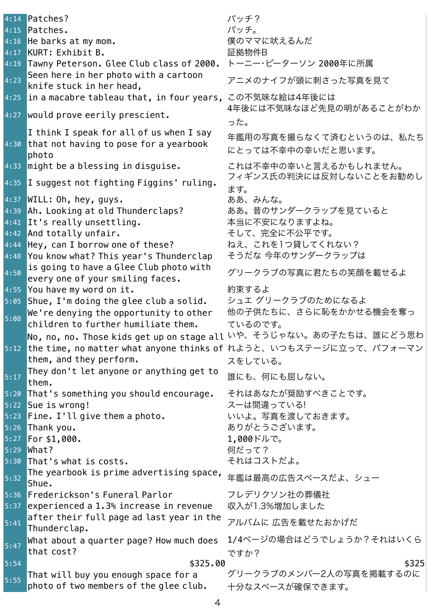|      | 4:14 Patches?                                                                   | パッチ?                                          |
|------|---------------------------------------------------------------------------------|-----------------------------------------------|
|      | 4:15 Patches.                                                                   | パッチ。                                          |
|      | 4:16 He barks at my mom.                                                        | 僕のママに吠えるんだ                                    |
|      | 4:17 KURT: Exhibit B.                                                           | 証拠物件B                                         |
|      | 4:19 Tawny Peterson. Glee Club class of 2000.                                   | トーニー・ピーターソン 2000年に所属                          |
| 4:23 | Seen here in her photo with a cartoon<br>knife stuck in her head,               | アニメのナイフが頭に刺さった写真を見て                           |
|      | $4:25$ in a macabre tableau that, in four years,                                | この不気味な絵は4年後には                                 |
|      | 4:27 would prove eerily prescient.                                              | 4年後には不気味なほど先見の明があることがわか<br>った。                |
|      | I think I speak for all of us when I say                                        |                                               |
|      | 4:30 that not having to pose for a yearbook<br>photo                            | 年鑑用の写真を撮らなくて済むというのは、私たち<br>にとっては不幸中の幸いだと思います。 |
|      | 4:33 might be a blessing in disguise.                                           | これは不幸中の幸いと言えるかもしれません。                         |
|      | 4:35 I suggest not fighting Figgins' ruling.                                    | フィギンス氏の判決には反対しないことをお勧めし                       |
|      |                                                                                 | ます。                                           |
|      | 4:37 WILL: Oh, hey, guys.                                                       | ああ、みんな。                                       |
|      | 4:39 Ah. Looking at old Thunderclaps?                                           | ああ。昔のサンダークラップを見ていると                           |
|      | 4:41 It's really unsettling.                                                    | 本当に不安になりますよね。<br>そして、完全に不公平です。                |
|      | 4:42 And totally unfair.                                                        | ねえ、これを1つ貸してくれない?                              |
| 4:44 | Hey, can I borrow one of these?                                                 | そうだな 今年のサンダークラップは                             |
|      | 4:48 You know what? This year's Thunderclap                                     |                                               |
| 4:50 | is going to have a Glee Club photo with<br>every one of your smiling faces.     | グリークラブの写真に君たちの笑顔を載せるよ                         |
|      | 4:55 You have my word on it.                                                    | 約束するよ                                         |
|      | 5:05 Shue, I'm doing the glee club a solid.                                     | シュエ グリークラブのためになるよ                             |
|      | We're denying the opportunity to other                                          | 他の子供たちに、さらに恥をかかせる機会を奪っ                        |
| 5:08 | children to further humiliate them.                                             | ているのです。                                       |
|      | <mark>No, no, no. Those kids get up on stage all いや、そうじゃない。あの子たちは、誰にどう思わ</mark> |                                               |
|      | 5:12 the time, no matter what anyone thinks of れようと、いつもステージに立って、パフォーマン          |                                               |
|      | them, and they perform.                                                         | スをしている。                                       |
|      | They don't let anyone or anything get to                                        |                                               |
| 5:17 | them.                                                                           | 誰にも、何にも屈しない。                                  |
|      | 5:20 That's something you should encourage.                                     | それはあなたが奨励すべきことです。                             |
|      | 5:22 Sue is wrong!                                                              | スーは間違っている!                                    |
|      | 5:23 Fine. I'll give them a photo.                                              | いいよ。写真を渡しておきます。                               |
|      | 5:26 Thank you.                                                                 | ありがとうございます。                                   |
|      | $5:27$ For \$1,000.                                                             | 1,000ドルで。                                     |
|      | 5:29 What?                                                                      | 何だって?                                         |
|      | 5:30 That's what is costs.                                                      | それはコストだよ。                                     |
| 5:32 | The yearbook is prime advertising space,<br>Shue.                               | 年鑑は最高の広告スペースだよ、シュー                            |
|      | 5:36 Frederickson's Funeral Parlor                                              | フレデリクソン社の葬儀社                                  |
|      | 5:37 experienced a 1.3% increase in revenue                                     | 収入が1.3%増加しました                                 |
|      | after their full page ad last year in the                                       |                                               |
| 5:41 | Thunderclap.                                                                    | アルバムに 広告を載せたおかげだ                              |
|      | What about a quarter page? How much does                                        | 1/4ページの場合はどうでしょうか?それはいくら                      |
| 5:47 | that cost?                                                                      |                                               |
| 5:54 | \$325.00                                                                        | ですか?<br>\$325                                 |
|      | That will buy you enough space for a                                            | グリークラブのメンバー2人の写真を掲載するのに                       |
| 5:55 | photo of two members of the glee club.                                          | 十分なスペースが確保できます。                               |
|      |                                                                                 |                                               |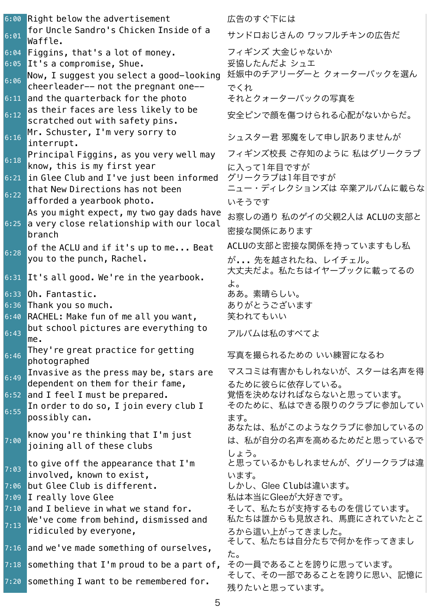6:00 Right below the advertisement 広告のすぐ下には  $\begin{bmatrix} 6:01 \end{bmatrix}$  for Uncle Sandro's Chicken Inside of a<br>Waffle. 6:04 Figgins, that's a lot of money. フィギンズ大金じゃないか 6:05 It's a compromise, Shue. ろんちゃく ころの こうじんだよ シュエ  $\overline{\phantom{a}_{6:06}}$  Now, I suggest you select a good-looking cheerleader-- not the pregnant one-- 6:11 and the quarterback for the photo それとクォーターバックの写真を  $6:12$  as their faces are less likely to be scratched out with safety pins. 6:16 Mr. Schuster, I'm very sorry to interrupt. シュスター君 邪魔をして申し訳ありませんが  $\begin{array}{c} 6:18 \end{array}$  Principal Figgins, as you very well may know, this is my first year 6:21 in Glee Club and I've just been informed グリークラブは1年目ですが  $6:22$  that New Directions has not been afforded a yearbook photo.  $6:25$ As you might expect, my two gay dads have a very close relationship with our local branch  $\frac{1}{6:28}$  of the ACLU and if it's up to me... Beat you to the punch, Rachel. 6:31 It's all good. We're in the yearbook. 大丈夫だよ。私たちはイヤーブックに載ってるの 6:33 Oh. Fantastic. まちまんのおよびのある。素晴らしい。 6:36 Thank you so much. しゅうしゃ ありがとうございます 6:40 RACHEL: Make fun of me all you want, 笑われてもいい  $6:43$  but school pictures are everything to<br>me.  $6:46$  They're great practice for getting<br>photographed  $\frac{1}{6:49}$  Invasive as the press may be, stars are dependent on them for their fame, 6:52 and I feel I must be prepared. <br>
賞悟を決めなければならないと思っています。 6:55 In order to do so, I join every club I possibly can.  $7:00$  know you're thinking that I'm just joining all of these clubs  $7:03$  to give off the appearance that I'm involved, known to exist, 7:06 but Glee Club is different. <br>コンセントリック しかし、Glee Clubは違います。 7:09 I really love Glee スピーク インティング そうなん 私は本当にGleeが大好きです。 7:10 and I believe in what we stand for. <br>2.10 and I believe in what we stand for. <br>2.2 そして、私たちが支持するものを信じています。  $\frac{1}{7:13}$  We've come from behind, dismissed and ridiculed by everyone, 7:16 and we've made something of ourselves, そして、私たちは自分たちで何かを作ってきまし 7:18 something that I'm proud to be a part of, その一員であることを誇りに思っています。 7:20 something I want to be remembered for. そして、その一部であることを誇りに思い、記憶に

Waffle. サンドロおじさんの ワッフルチキンの広告だ 妊娠中のチアリーダーと クォーターバックを選ん でくれ 安全ピンで顔を傷つけられる心配がないからだ。 フィギンズ校長 ご存知のように 私はグリークラブ に入って1年目ですが ニュー・ディレクションズは 卒業アルバムに載らな いそうです お察しの通り 私のゲイの父親2人は ACLUの支部と 密接な関係にあります ACLUの支部と密接な関係を持っていますもし私 が... 先を越されたね、レイチェル。 よ。 アルバムは私のすべてよ 写真を撮られるための いい練習になるわ マスコミは有害かもしれないが、スターは名声を得 るために彼らに依存している。 そのために、私はできる限りのクラブに参加してい ます。 あなたは、私がこのようなクラブに参加しているの は、私が自分の名声を高めるためだと思っているで しょう。 と思っているかもしれませんが、グリークラブは違 います。 私たちは誰からも見放され、馬鹿にされていたとこ ろから這い上がってきました。 た。 残りたいと思っています。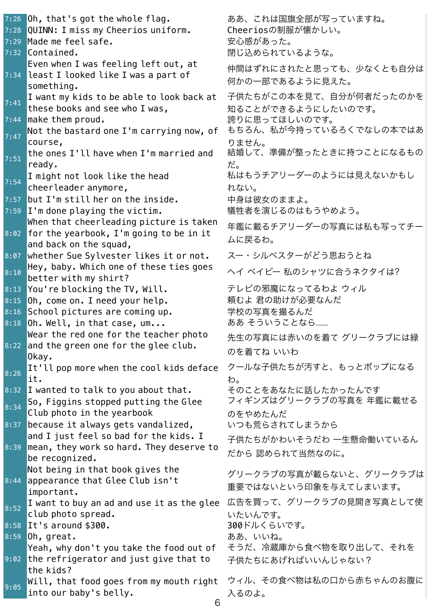7:26 Oh, that's got the whole flag. <br>
and the state in that's got the whole flag. 7:28 QUINN: I miss my Cheerios uniform. Cheeriosの制服が懐かしい。 7:29 Made me feel safe. インファイン しゅうしょう 安心感があった。 7:32 Contained. いちゃんなどのことをしているような。 7:34 Even when I was feeling left out, at least I looked like I was a part of something. 7:41 I want my kids to be able to look back at these books and see who I was, 7:44 make them proud. しゅうしんしゃ 誇りに思ってほしいのです。 7:47 Not the bastard one I'm carrying now, of course, 7:51 the ones I'll have when I'm married and ready. だ。 7:54 I might not look like the head cheerleader anymore, 7:57 but I'm still her on the inside. キリタンのすまよ。 7:59 I'm done playing the victim. キャング 犠牲者を演じるのはもうやめよう。 8:02 When that cheerleading picture is taken for the yearbook, I'm going to be in it and back on the squad, 8:07 whether Sue Sylvester likes it or not. スー・シルベスターがどう思おうとね  $8:10$  Hey, baby. Which one of these ties goes<br>better with my shirt? 8:13 You're blocking the TV, Will. ナレビの邪魔になってるわよ ウィル 8:15 Oh, come on. I need your help. アイナン 頼むよ 君の助けが必要なんだ 8:16 School pictures are coming up. キャッキングの写真を撮るんだ 8:18 Oh. Well, in that case, um... **おかそういうことなら.....** 8:22 and the green one for the glee club. Wear the red one for the teacher photo Okay. 8:26 It'll pop more when the cool kids deface it. わ。 8:32 I wanted to talk to you about that. そのことをあなたに話したかったんです  $8:34$  So, Figgins stopped putting the Glee Club photo in the yearbook 8:37 because it always gets vandalized, いつも荒らされてしまうから 8:39 and I just feel so bad for the kids. I mean, they work so hard. They deserve to be recognized. 8:44 Not being in that book gives the appearance that Glee Club isn't important. 8:52 I want to buy an ad and use it as the glee 広告を買って、グリークラブの見開き写真として使 club photo spread. 8:58 It's around \$300. 2000 - 300ドルくらいです。 8:59 Oh, great. いちゃん ちょうしょう ああ、いいね。 9:02 <mark>t</mark>he refrigerator and just give that to Yeah, why don't you take the food out of the kids?  $\frac{1}{9:05}$  Will, that food goes from my mouth right into our baby's belly. 入るのよ。

仲間はずれにされたと思っても、少なくとも自分は 何かの一部であるように見えた。 子供たちがこの本を見て、自分が何者だったのかを 知ることができるようにしたいのです。 もちろん、私が今持っているろくでなしの本ではあ りません。 結婚して、準備が整ったときに持つことになるもの 私はもうチアリーダーのようには見えないかもし れない。 年鑑に載るチアリーダーの写真には私も写ってチー ムに戻るわ。 ヘイ ベイビー 私のシャツに合うネクタイは? 先生の写真には赤いのを着て グリークラブには緑 のを着てね いいわ クールな子供たちが汚すと、もっとポップになる フィギンズはグリークラブの写真を 年鑑に載せる のをやめたんだ 子供たちがかわいそうだわ 一生懸命働いているん だから 認められて当然なのに。 グリークラブの写真が載らないと、グリークラブは 重要ではないという印象を与えてしまいます。 いたいんです。 そうだ、冷蔵庫から食べ物を取り出して、それを 子供たちにあげればいいんじゃない? ウィル、その食べ物は私の口から赤ちゃんのお腹に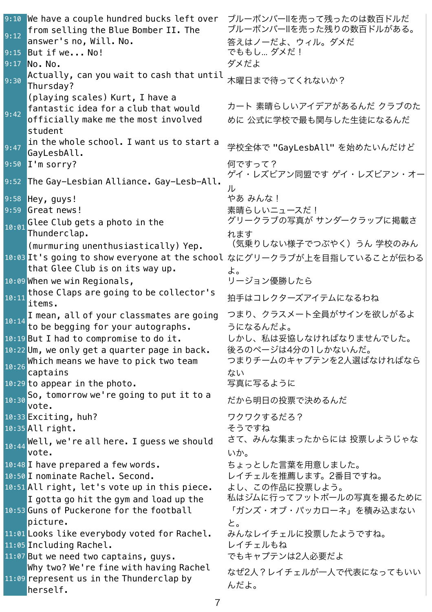9:10 We have a couple hundred bucks left over ブルーボンバーIIを売って残ったのは数百ドルだ  $_{9:12}$  from selling the Blue Bomber II. The answer's no, Will. No. ブルーボンバーIIを売った残りの数百ドルがある。 答えはノーだよ、ウィル。ダメだ 9:15 But if we... No! こうしん でももし... ダメだ! 9:17 No. No. 2000 アイディアングメだよ 9:30  $\overline{\text{Actually, can you wait to cash that until}}$ 木曜日まで待ってくれないか?  $9:42$ (playing scales) Kurt, I have a fantastic idea for a club that would officially make me the most involved student カート 素晴らしいアイデアがあるんだ クラブのた めに 公式に学校で最も関与した生徒になるんだ 9:47 in the whole school. I want us to start a |In the whote senoot: I want as to start a | 学校全体で "GayLesbAll" を始めたいんだけど<br>|GayLesbAll. 9:50 I'm sorry? 何ですって? etter Alliance. Gay-Lesb-All. ゲイ・レズビアン同盟です ゲイ・レズビアン・オー<br>9:52 The Gay-Lesbian Alliance. Gay-Lesb-All. ル 9:58 Hey, guys! しゅうしゃ しゅうしゃ やあ みんな ! 9:59 Great news! しゅうしょう しゅうしょう 素晴らしいニュースだ! 10:01 Glee Club gets a photo in the Thunderclap. グリークラブの写真が サンダークラップに掲載さ れます 10:03 It's going to show everyone at the school なにグリークラブが上を目指していることが伝わる (murmuring unenthusiastically) Yep. that Glee Club is on its way up. (気乗りしない様子でつぶやく)うん 学校のみん よ。 10:09 When we win Regionals, アンチョン優勝したら  $\frac{10:11}{\text{items}}$  those Claps are going to be collector's 拍手はコレクターズアイテムになるわね 10:14 I mean, all of your classmates are going to be begging for your autographs. つまり、クラスメート全員がサインを欲しがるよ うになるんだよ。 10:19 But I had to compromise to do it. しかし、私は妥協しなければなりませんでした。 10:22 Um, we only get a quarter page in back. 後ろのページは4分の1しかないんだ。  $\frac{10:26}{10:26}$  Which means we have to pick two team captains つまりチームのキャプテンを2人選ばなければなら ない 10:29 to appear in the photo. <br>コペンタン 写真に写るように  $10:30$  So, tomorrow we're going to put it to a だから明日の投票で決めるんだ 10:33 Exciting, huh? フクワクするだろ? 10:35 All right. とります しょうですね  $\overline{10:44}$  Well, we're all here. I guess we should vote. さて、みんな集まったからには 投票しようじゃな いか。 10:48 I have prepared a few words. <br>
コ0:48 I have prepared a few words. <br>
ココココココココココココとした言葉を用意しました。 10:50 I nominate Rachel. Second. レイチェルを推薦します。2番目ですね。 10:51 All right, let's vote up in this piece. よし、この作品に投票しよう。 10:53 Guns of Puckerone for the football I gotta go hit the gym and load up the picture. 私はジムに行ってフットボールの写真を撮るために 「ガンズ・オブ・パッカローネ」を積み込まない と。 11:01 Looks like everybody voted for Rachel. みんなレイチェルに投票したようですね。 11:05 Including Rachel. スページ エンジェルもね 11:07 But we need two captains, guys. アキキャプテンは2人必要だよ 11:09 represent us in the Thunderclap by Why two? We're fine with having Rachel herself. なぜ2人?レイチェルが一人で代表になってもいい んだよ。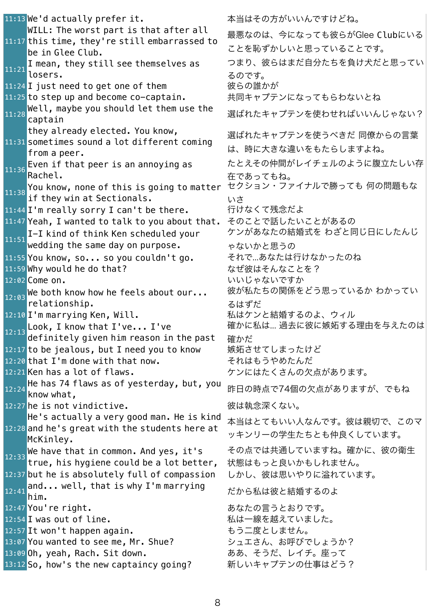11:13 We'd actually prefer it. 本当はその方がいいんですけどね。 11:17 this time, they're still embarrassed to WILL: The worst part is that after all be in Glee Club.  $\begin{array}{c} \texttt{11:21} \end{array}$  I mean, they still see themselves as losers. 11:24 I just need to get one of them 彼らの誰かが 11:25 to step up and become co-captain. キーサンテンになってもらわないとね 11:28 <mark>Well, maybe you should let them use the coneよれたキャプテンを使わせればいいんじゃない?</mark><br>captain 11:31 sometimes sound a lot different coming they already elected. You know, from a peer.  $11:36$  Even if that peer is an annoying as Rachel.  $\frac{11:38}{11:38}$  You know, none of this is going to matter if they win at Sectionals. 11:44 I'm really sorry I can't be there. 行けなくて残念だよ 11:47 Yeah, I wanted to talk to you about that. そのことで話したいことがあるの 11:51 I-I kind of think Ken scheduled your wedding the same day on purpose. 11:55 You know, so... so you couldn't go. それで...あなたは行けなかったのね 11:59 Why would he do that? しんちょう おぜ彼はそんなことを? 12:02 Come on. しゅうしょうしゃ いいじゃないですか  $12:03$  We both know how he feels about our... relationship. 12:10 I'm marrying Ken, Will. インプロング 私はケンと結婚するのよ、ウィル  $\overline{12:13}$  Look, I know that I've... I've definitely given him reason in the past 12:17 to be jealous, but I need you to know 嫉妬させてしまったけど 12:20 that I'm done with that now. <br>ユージャング・セック それはもうやめたんだ 12:21 Ken has a lot of flaws. カンにはたくさんの欠点があります。 12:24 <mark>He has 74 flaws as of yesterday, but, you</mark> <sub>昨日の時点で</sub>74個の欠点がありますが、でもね<br><mark>know what,</mark> 12:27 he is not vindictive. <br>コンコンストランスのおよびない。 12:28 and he's great with the students here at He's actually a very good man. He is kind McKinley.  $\frac{12:33}{12:33}$  We have that in common. And yes, it's true, his hygiene could be a lot better, 12:37 but he is absolutely full of compassion しかし、彼は思いやりに溢れています。  $\frac{12:41}{\text{him.}}$  well, that is why I'm marrying 12:47 You're right. http://www.facebook.com/state/action-to-to-to-to-to-to-to-to-12:54 I was out of line. https://www.mail.com/aid/aid/aid/aid/aid/aid/aid/aid/aid 12:57 It won't happen again. <br>コンコンセット おう二度としません。 13:07 You wanted to see me, Mr. Shue? シュエさん、お呼びでしょうか? 13:09 Oh, yeah, Rach. Sit down. おあ、そうだ、レイチ。座って 13:12 So, how's the new captaincy going? 新しいキャプテンの仕事はどう?

最悪なのは、今になっても彼らがGlee Clubにいる ことを恥ずかしいと思っていることです。 つまり、彼らはまだ自分たちを負け犬だと思ってい るのです。 選ばれたキャプテンを使うべきだ 同僚からの言葉 は、時に大きな違いをもたらしますよね。 たとえその仲間がレイチェルのように腹立たしい存 在であってもね。 セクション・ファイナルで勝っても 何の問題もな いさ ケンがあなたの結婚式を わざと同じ日にしたんじ ゃないかと思うの 彼が私たちの関係をどう思っているか わかってい るはずだ 確かに私は... 過去に彼に嫉妬する理由を与えたのは 確かだ 本当はとてもいい人なんです。彼は親切で、このマ ッキンリーの学生たちとも仲良くしています。 その点では共通していますね。確かに、彼の衛生 状態はもっと良いかもしれません。 だから私は彼と結婚するのよ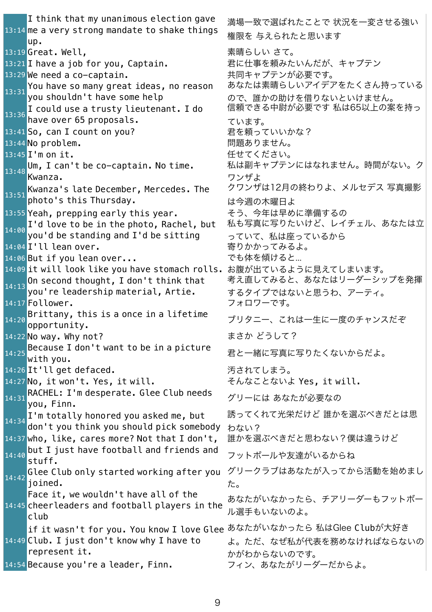13:14 me a very strong mandate to shake things I think that my unanimous election gave up. 13:19 Great. Well, こちらのあることを意味らしい さて。 13:21 I have a job for you, Captain. オンプログラン 君に仕事を頼みたいんだが、キャプテン 13:29 We need a co-captain. <br>
ココントングランが必要です。  $\overline{13:31}$  You have so many great ideas, no reason you shouldn't have some help 13:36 I could use a trusty lieutenant. I do have over 65 proposals. ています。 13:41 So, can I count on you? アンチング 君を頼っていいかな? 13:44 No problem. いちゃんなどのことをしているのは、問題ありません。 13:45 I'm on it. ちょうしゃ しゅうしゃ インスタン 任せてください。  $13:48$  Um, I can't be co-captain. No time. Kwanza. ワンザよ Kwanza's late December, Mercedes. The photo's this Thursday. 13:55 Yeah, prepping early this year. <br>
ークラ、今年は早めに準備するの  $\frac{1}{14:00}$  I'd love to be in the photo, Rachel, but you'd be standing and I'd be sitting 14:04 I'll lean over. いっちゃっという うちょう 寄りかかってみるよ。 14:06 But if you lean over... <br>コイン でも体を傾けると... 14:09 it will look like you have stomach rolls. お腹が出ているように見えてしまいます。  $\frac{1}{14:13}$ On second thought, I don't think that you're leadership material, Artie. 14:17 Follower. **コントランス** フォロワーです。  $14:20$  Brittany, this is a once in a lifetime<br>opportunity. 14:22 No way. Why not? **スキャント** しゅうしょう まさか どうして?  $14:25$  Because I don't want to be in a picture<br>with you. 14:26 It'll get defaced. ろっちょうかい 汚されてしまう。 14:27 No, it won't. Yes, it will. <br>
→ そんなことないよ Yes, it will.  $14:31$  RACHEL: I'm desperate. Glee Club needs<br> $14:31$  you, Finn. 14:34 I'm totally honored you asked me, but don't you think you should pick somebody わない? 14:37 who, like, cares more? Not that I don't, 誰かを選ぶべきだと思わない?僕は違うけど 14:40 <mark>but I just have football and friends and</mark> フットボールや友達がいるからね<br><mark>stuff.</mark>  $\overline{14:42}$  Glee Club only started working after you joined. た。 14:45 cheerleaders and football players in the Face it, we wouldn't have all of the club 14:49 Club. I just don't know why I have to if it wasn't for you. You know I love Glee あなたがいなかったら 私はGlee Clubが大好き represent it. 14:54 Because you're a leader, Finn. フィン、あなたがリーダーだからよ。

満場一致で選ばれたことで 状況を一変させる強い 権限を 与えられたと思います あなたは素晴らしいアイデアをたくさん持っている ので、誰かの助けを借りないといけません。 信頼できる中尉が必要です 私は65以上の案を持っ 私は副キャプテンにはなれません。時間がない。ク クワンザは12月の終わりよ、メルセデス 写真撮影 は今週の木曜日よ 私も写真に写りたいけど、レイチェル、あなたは立 っていて、私は座っているから 考え直してみると、あなたはリーダーシップを発揮 するタイプではないと思うわ、アーティ。 ブリタニー、これは一生に一度のチャンスだぞ 君と一緒に写真に写りたくないからだよ。 グリーには あなたが必要なの 誘ってくれて光栄だけど 誰かを選ぶべきだとは思 グリークラブはあなたが入ってから活動を始めまし あなたがいなかったら、チアリーダーもフットボー ル選手もいないのよ。 よ。ただ、なぜ私が代表を務めなければならないの かがわからないのです。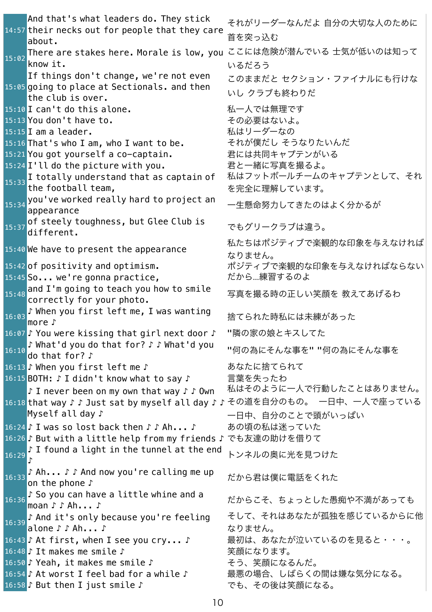14:57 their necks out for people that they care And that's what leaders do. They stick about. それがリーダーなんだよ 自分の大切な人のために 首を突っ込む 15:02 There are stakes here. Morale is low, you ここには危険が潜んでいる 士気が低いのは知って know it. いるだろう 15:05 going to place at Sectionals. and then If things don't change, we're not even the club is over. このままだと セクション・ファイナルにも行けな いし クラブも終わりだ 15:10 I can't do this alone. <br>コンストリック おんなんでは無理です 15:13 You don't have to. the context of the その必要はないよ。 15:15 I am a leader. <br>
and the contract to the first and the first and the first and the first and the first and the first and the first and the first and the first and the first and the first and the first and the first 15:16 That's who I am, who I want to be. それが僕だし そうなりたいんだ 15:21 You got yourself a co-captain. オレは共同キャプテンがいる 15:24 I'll do the picture with you. オと一緒に写真を撮るよ。  $15:33$ I totally understand that as captain of the football team, 私はフットボールチームのキャプテンとして、それ を完全に理解しています。 <sub>15:34</sub> you've worked really hard to project an —生懸命努力してきたのはよく分かるが<br>appearance  $15:37$  of steely toughness, but Glee Club is<br>different. different. でもグリークラブは違う。  $15:40$  We have to present the appearance 私たちはポジティブで楽観的な印象を与えなければ なりません。 15:42 of positivity and optimism. <br>ポジティブで楽観的な印象を与えなければならない 15:45 So... we're gonna practice, the table だから...練習するのよ  $15:48$  and I'm going to teach you how to smile<br>correctly for your photo. 写真を撮る時の正しい笑顔を 教えてあげるわ 16:03 ♪ When you first left me, I was wanting ,wiich you rin st tert me, i was wanting 捨てられた時私には未練があった<br>more ♪ 16:07 ♪ You were kissing that girl next door ♪ "隣の家の娘とキスしてた 16:10 ♪ What'd you do that for? ♪ ♪ What'd you → wildt d you do that for : ・・・ wildt d you "何の為にそんな事を" "何の為にそんな事を<br>|do that for? ♪ 16:13 ♪ When you first left me ♪ あなたに捨てられて 16:15 BOTH: ♪ I didn't know what to say ♪ 言葉を失ったわ 16:18 <mark>that way ♪ ♪ Just sat by myself all day ♪ ♪ その道を自分のもの。 一日中、一人で座っている</mark> ♪ I never been on my own that way ♪ ♪ Own Myself all day ♪ 私はそのように一人で行動したことはありません。 一日中、自分のことで頭がいっぱい 16:24 ♪ I was so lost back then ♪ ♪ Ah... ♪ あの頃の私は迷っていた 16:26 ♪ But with a little help from my friends ♪ でも友達の助けを借りて 16:29 ♪ I found a light in the tunnel at the end ♪ トンネルの奥に光を見つけた 16:33 ♪ Ah... ♪ ♪ And now you're calling me up • All...,,And now you it catting me up だから君は僕に電話をくれた<br>on the phone ♪ 16:36 ♪ So you can have a little whine and a , Jo you can have a creeted whine and a computably およっとした愚痴や不満があっても<br>|moan ♪♪ Ah... ♪ 16:39 ♪ And it's only because you're feeling alone ♪ ♪ Ah... ♪ そして、それはあなたが孤独を感じているからに他 なりません。 16:43 ♪ At first, when I see you cry... ♪ 黒初は、あなたが泣いているのを見ると・・・。 16:48 ♪ It makes me smile ♪ まんのかい 笑顔になります。 16:50 ♪ Yeah, it makes me smile ♪ そう、笑顔になるんだ。 16:54 ♪ At worst I feel bad for a while ♪ 最悪の場合、しばらくの間は嫌な気分になる。 16:58 ♪ But then I just smile ♪ アイル でも、その後は笑顔になる。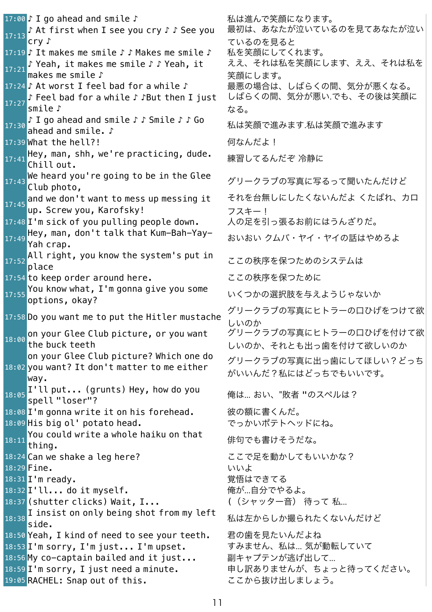17:00 ♪ I go ahead and smile ♪ わから おは進んで笑顔になります。 17:13 ♪ At first when I see you cry ♪ ♪ See you cry ♪ 17:19 ♪ It makes me smile ♪ ♪ Makes me smile ♪ 私を笑顔にしてくれます。 17:21 ♪ Yeah, it makes me smile ♪ ♪ Yeah, it makes me smile ♪ 17:24 ♪ At worst I feel bad for a while ♪ 最悪の場合は、しばらくの間、気分が悪くなる。 17:27 ♪ Feel bad for a while ♪ ♪But then I just smile ♪ 17:30 ♪ I go ahead and smile ♪ ♪ Smile ♪ ♪ Go • 1 go anead and smile • • smile • • • 00 私は笑顔で進みます.私は笑顔で進みます<br>ahead and smile. ♪ 17:39 What the hell?! ろんだい はんだよ! 17:41 <mark>Hey, man, shh, we're practicing, dude.</mark> <br><sup>17:41</sup> Chill out. 17:43 <mark>We heard you're going to be in the Glee</mark><br>27:43 Club photo, 17:45 and we don't want to mess up messing it up. Screw you, Karofsky! 17:48 I'm sick of you pulling people down. 人の足を引っ張るお前にはうんざりだ。  $\frac{17:49}{17:49}$  Hey, man, don't talk that Kum-Bah-Yay-Yah crap. 17:52 All right, you know the system's put in Att right, you know the system is put in  $z$  ここの秩序を保つためのシステムは 17:54 to keep order around here. <br>ココンコンコンコンコンステク株序を保つために 17:55 You know what, I'm gonna give you some Tod Khow what, 1 iii gorma give you some<br>options, okay? 17:58 Do you want me to put the Hitler mustache グリークラブの写真にヒトラーの口ひげをつけて欲 18:00 on your Glee Club picture, or you want the buck teeth 18:02 you want? It don't matter to me either on your Glee Club picture? Which one do way. 18:05 I'll put... (grunts) Hey, how do you 俺は... おい、"敗者 "のスペルは?<br>spell "loser"? 18:08 I'm gonna write it on his forehead. 彼の額に書くんだ。 18:09 His big ol' potato head. <br>
ーーーーーーーーーでっかいポテトヘッドにね。  $18:11$  You could write a whole haiku on that<br>thing. 18:24 Can we shake a leg here? <br>コピングループ ここで足を動かしてもいいかな? 18:29 Fine. いいよ 18:31 I'm ready. またはない おかしゃ 覚悟はできてる 18:32 I'll... do it myself. カップ インストリック 俺が…自分でやるよ。 18:37 (shutter clicks) Wait, I... ((シャッター音) 待って 私... 18:38 I insist on only being shot from my left 私は左からしか撮られたくないんだけど<br>side. 18:50 Yeah, I kind of need to see your teeth. 君の歯を見たいんだよね 18:53 I'm sorry, I'm just... I'm upset. すみません、私は... 気が動転していて 18:56 My co-captain bailed and it just... 副キャプテンが逃げ出して... 18:59 I'm sorry, I just need a minute. キレ訳ありませんが、ちょっと待ってください。 19:05 RACHEL: Snap out of this. ここから抜け出しましょう。

最初は、あなたが泣いているのを見てあなたが泣い ているのを見ると ええ、それは私を笑顔にします、ええ、それは私を 笑顔にします。 しばらくの間、気分が悪い.でも、その後は笑顔に なる。 それを台無しにしたくないんだよ くたばれ、カロ フスキー! おいおい クムバ・ヤイ・ヤイの話はやめろよ しいのか グリークラブの写真にヒトラーの口ひげを付けて欲 しいのか、それとも出っ歯を付けて欲しいのか グリークラブの写真に出っ歯にしてほしい?どっち がいいんだ?私にはどっちでもいいです。 俳句でも書けそうだな。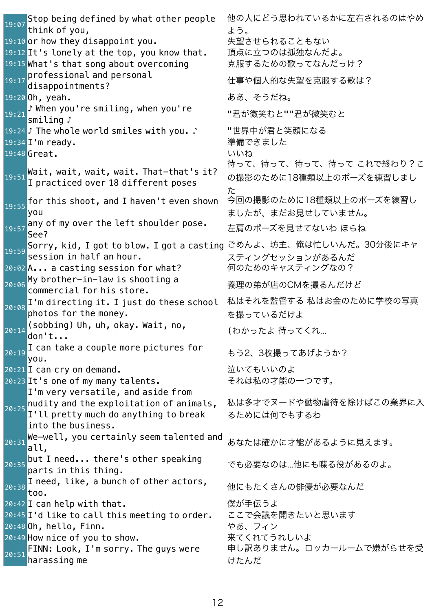$19:07$  Stop being defined by what other people think of you, 他の人にどう思われているかに左右されるのはやめ よう。 19:10 or how they disappoint you. 失望させられることもない 19:12 It's lonely at the top, you know that. 頂点に立つのは孤独なんだよ。 19:15 What's that song about overcoming アアデアラスための歌ってなんだっけ? 19:17 professional and personal<br>disappointments? 仕事や個人的な失望を克服する歌は? 19:20 Oh, yeah. **スキャント しゅうしゅう しゅうしょう ああ**、そうだね。 19:21 ♪ When you're smiling, when you're ,wien you re smitting, wien you re "君が微笑むと""君が微笑むと<br>smiling ♪ 19:24 ♪ The whole world smiles with you. ♪ 世界中が君と笑顔になる 19:34 I'm ready. またはない インプロセット これには 準備できました 19:48 Great. **インタン しゅうしょう しゅうしょう しゅうしょう しゅうしゅう** いいね Wait, wait, wait, wait. That-that's it? I practiced over 18 different poses 待って、待って、待って、待って これで終わり?こ の撮影のために18種類以上のポーズを練習しまし た  $19:55$  for this shoot, and I haven't even shown you 今回の撮影のために18種類以上のポーズを練習し ましたが、まだお見せしていません。  $19:57$  any of my over the left shoulder pose.<br>See? 左肩のポーズを見せてないわ ほらね 19:59 Sorry, kid, <sup>I</sup> got to blow. <sup>I</sup> got <sup>a</sup> casting ごめんよ、坊主、俺は忙しいんだ。30分後にキャ session in half an hour. スティングセッションがあるんだ 20:02 A... a casting session for what? 何のためのキャスティングなの? 20:06 <mark>My brother-in-law is shooting a</mark> 義理の弟が店のCMを撮るんだけど<br><mark>commercial for his store.</mark> 20:08 I'm directing it. I just do these school photos for the money. 私はそれを監督する 私はお金のために学校の写真 を撮っているだけよ  $20:14$  (sobbing) Uh, uh, okay. Wait, no, (わかったよ 待ってくれ... 20:19 I can take a couple more pictures for - Light cance a coup ce more piccures for the もう2、3枚撮ってあげようか?<br>you. 20:21 I can cry on demand. <br>20:21 I can cry on demand. 20:23 It's one of my many talents. <br>マれは私の才能の一つです。 20:25 I'm very versatile, and aside from nudity and the exploitation of animals, I'll pretty much do anything to break into the business. 私は多才でヌードや動物虐待を除けばこの業界に入 るためには何でもするわ  $20:31$  We-well, you certainly seem talented and  $20:31$  all, あなたは確かに才能があるように見えます。  $20:35$  but I need... there's other speaking<br>parts in this thing. でも必要なのは…他にも喋る役があるのよ。 20:38 I need, like, a bunch of other actors, t need, tike, a banen of other actors,  $\qquad$  他にもたくさんの俳優が必要なんだ 20:42 I can help with that.  $\qquad \qquad \qquad$  僕が手伝うよ 20:45 I'd like to call this meeting to order. ここで会議を開きたいと思います 20:48 <mark>Oh, hello, Finn.</mark> しゅうしゃ しゅうしゃ やあ、フィン 20:49 How nice of you to show. キマくれてうれしいよ 20:51 FINN: Look, I'm sorry. The guys were harassing me 申し訳ありません。ロッカールームで嫌がらせを受 けたんだ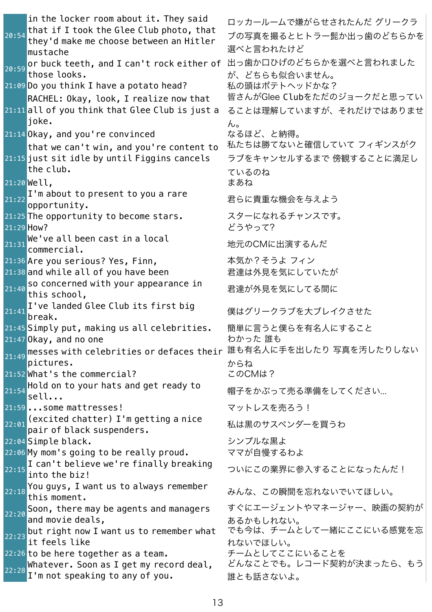20:54 in the locker room about it. They said that if I took the Glee Club photo, that they'd make me choose between an Hitler mustache ロッカールームで嫌がらせされたんだ グリークラ ブの写真を撮るとヒトラー髭か出っ歯のどちらかを 選べと言われたけど 20:59 or buck teeth, and <sup>I</sup> can't rock either of 出っ歯か口ひげのどちらかを選べと言われました those looks. が、どちらも似合いません。<br>私の頭はポテトヘッドかな?  $21:09$  Do you think I have a potato head? 21:11 all of you think that Glee Club is just a RACHEL: Okay, look, I realize now that joke. 皆さんがGlee Clubをただのジョークだと思ってい ることは理解していますが、それだけではありませ ん。 21:14 Okay, and you're convinced おるほど、と納得。 21:15 just sit idle by until Figgins cancels that we can't win, and you're content to the club. 私たちは勝てないと確信していて フィギンスがク ラブをキャンセルするまで 傍観することに満足し ているのね 21:20 Well, まあね 21:22 I'm about to present to you a rare 1 m about to present to you a rare http://www.marchine.com/<br>opportunity 21:25 The opportunity to become stars. スターになれるチャンスです。 21:29 <mark>Ho</mark>w? しんしゃ しんしゃ しゅうしゃ とうやって? 21:31 <mark>We've all been cast in a local the mand self</mark> between the self between the self and the self and the self<br><mark>commercial.</mark> 21:36 Are you serious? Yes, Finn, アンコン 本気か?そうよ フィン 21:38 and while all of you have been <br>コ:38 and while all of you have been <br>コンコンコンコンコンスタイルを気にしていたが 21:40 so concerned with your appearance in this school, 君達が外見を気にしてる間に  $21:41$  I've landed Glee Club its first big<br> $21:41$  break. 僕はグリークラブを大ブレイクさせた 21:45 Simply put, making us all celebrities. 簡単に言うと僕らを有名人にすること 21:47 Okay, and no one カカった 誰も <sub>21:49</sub> messes with celebrities or defaces their 誰も有名人に手を出したり 写真を汚したりしない pictures. からね 21:52 What's the commercial? このCMは?  $21:54$  Hold on to your hats and get ready to seall... 帽子をかぶって売る準備をしてください... 21:59 ...some mattresses! マットレスを売ろう!  $\frac{1}{22:01}$  (excited chatter) I'm getting a nice \cxcited enatter / i im getting a nice  $M$ は黒のサスペンダーを買うわ 22:04 Simple black. しゅうしょう しゅうしょう シンプルな黒よ 22:06 My mom's going to be really proud. ママが自慢するわよ 22:15 <mark>I can't believe we're finally breaking </mark><br>ついにこの業界に参入することになったんだ!<br>**into the biz**!  $22:18$  You guys, I want us to always remember<br>this moment. みんな、この瞬間を忘れないでいてほしい。  $\sqrt{\frac{22:20}{22:20}}$  Soon, there may be agents and managers and movie deals, すぐにエージェントやマネージャー、映画の契約が あるかもしれない。  $22:23$  but right now I want us to remember what it feels like でも今は、チームとして一緒にここにいる感覚を忘 れないでほしい。 22:26 to be here together as a team. チームとしてここにいることを 22:28 Whatever. Soon as I get my record deal, I'm not speaking to any of you. どんなことでも。レコード契約が決まったら、もう 誰とも話さないよ。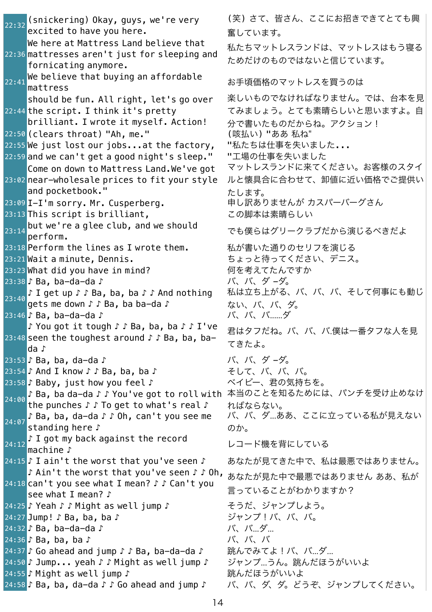$\sqrt{22\cdot32}$  (snickering) Okay, guys, we're very excited to have you here. 22:36 mattresses aren't just for sleeping and We here at Mattress Land believe that fornicating anymore.  $22:41$  We believe that buying an affordable<br> $22:41$  mattress 22:44 the script. I think it's pretty should be fun. All right, let's go over brilliant. I wrote it myself. Action! 22:50 (clears throat) "Ah, me." (咳払い) "ああ 私ね" 22:55 We just lost our jobs...at the factory, "私たちは仕事を失いました... 22:59 and we can't get a good night's sleep." "工場の仕事を失いました 23:02 near-wholesale prices to fit your style Come on down to Mattress Land.We've got and pocketbook." 23:09 I-I'm sorry. Mr. Cusperberg. カレアのませんがカスパーバーグさん 23:13 This script is brilliant, アンチングの脚本は素晴らしい  $23:14$  but we're a glee club, and we should<br>perform. 23:18 Perform the lines as I wrote them. <br>23:18 Perform the lines as I wrote them. <br>23:18 Perform the lines as I wrote them. 23:21 Wait a minute, Dennis. しゅうしゃ ちょっと待ってください、デニス。 23:23 What did you have in mind? アイナン 何を考えてたんですか 23:38 ♪ Ba, ba-da-da ♪ イングル イングリング イングル バ、バ、ダ -ダ。 23:40 ♪ I get up ♪ ♪ Ba, ba, ba ♪ ♪ And nothing gets me down ♪ ♪ Ba, ba ba-da ♪ 23:46 ♪ Ba, ba-da-da ♪ インストランド バ、バ、バ......ダ 23:48 seen the toughest around ♪ ♪ Ba, ba, ba-♪ You got it tough ♪ ♪ Ba, ba, ba ♪ ♪ I've da ♪ 23:53 ♪ Ba, ba, da-da ♪ イングル イングリック バ、バ、ダ -ダ。 23:54 ♪ And I know ♪ ♪ Ba, ba, ba ♪ **インター** そして、バ、バ、バ。 23:58 ♪ Baby, just how you feel ♪ イビー、君の気持ちを。 24:00 ♪ Ba, ba da-da ♪ ♪ You've got to roll with 本当のことを知るためには、パンチを受け止めなけ the punches ♪ ♪ To get to what's real ♪ 24:07 ♪ Ba, ba, da-da ♪ ♪ Oh, can't you see me standing here ♪ 24:12 ♪ I got my back against the record → 1 you my back ayainst the record レコード機を背にしている<br>|machine ♪ 24:15 ♪ I ain't the worst that you've seen ♪ あなたが見てきた中で、私は最悪ではありません。 24:18 can't you see what I mean? ♪♪ Can't you ♪ Ain't the worst that you've seen ♪ ♪ Oh, see what I mean? ♪ 24:25 ♪ Yeah ♪ ♪ Might as well jump ♪ そうだ、ジャンプしよう。 24:27 Jump!♪ Ba, ba, ba♪ しゅうしゃ ジャンプ!バ、バ、バ。 24:32 ♪ Ba, ba-da-da ♪ いんじょう いっぱい バ、バ…ダ… 24:36 ♪ Ba, ba, ba ♪ インティング おんじょう しょうしょう しょうしょう 24:37 ♪ Go ahead and jump ♪ ♪ Ba, ba-da-da ♪ 別跳んでみてよ!バ、バ...ダ... 24:50 ♪ Jump... yeah ♪ ♪ Might as well jump ♪ ジャンプ...うん。跳んだほうがいいよ 24:55 ♪ Might as well jump ♪ おんだほうがいいよ 24:58 ♪ Ba, ba, da-da ♪ ♪ Go ahead and jump ♪ バ、バ、ダ、ダ。どうぞ、ジャンプしてください。

(笑) さて、皆さん、ここにお招きできてとても興 奮しています。 私たちマットレスランドは、マットレスはもう寝る ためだけのものではないと信じています。 mattress お手頃価格のマットレスを買うのは 楽しいものでなければなりません。では、台本を見 てみましょう。とても素晴らしいと思いますよ。自 分で書いたものだからね。アクション! マットレスランドに来てください。お客様のスタイ ルと懐具合に合わせて、卸値に近い価格でご提供い たします。 でも僕らはグリークラブだから演じるべきだよ 私は立ち上がる、バ、バ、バ、そして何事にも動じ ない、バ、バ、ダ。 君はタフだね。バ、バ、バ.僕は一番タフな人を見 てきたよ。 ればならない。 バ、バ、ダ...ああ、ここに立っている私が見えない のか。 あなたが見た中で最悪ではありません ああ、私が 言っていることがわかりますか?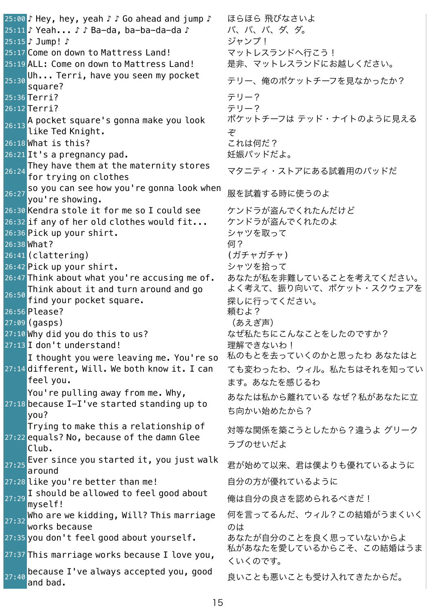25:00 ♪ Hey, hey, yeah ♪ ♪ Go ahead and jump ♪ ほらほら 飛びなさいよ 25:11 ♪ Yeah... ♪ ♪ Ba-da, ba-ba-da-da ♪ イベ、バ、グ、ダ、ダ。 25:15 ♪ Jump! ♪ しんしん しんしんしゃ ジャンプ! 25:17 Come on down to Mattress Land! マットレスランドへ行こう! 25:19 ALL: Come on down to Mattress Land! 是非、マットレスランドにお越しください。  $25:30$  Uh... Terri, have you seen my pocket<br>square? テリー、俺のポケットチーフを見なかったか? 25:36 Terri? アリー? 26:12 <mark>Terri?</mark> しゅうしゃ しゅうしゃ おんしゃ ラリー? 26:13 A pocket square's gonna make you look like Ted Knight. ポケットチーフは テッド・ナイトのように見える ぞ 26:18 What is this? こさんは何だ? 26:21 It's a pregnancy pad. 妊娠パッドだよ。 26:24 They have them at the maternity stores マタニティ・ストアにある試着用のパッドだ<br>for trying on clothes 26:27 <mark>so you can see how you're gonna look when</mark><br>wou're showing. 26:30 Kendra stole it for me so I could see ケンドラが盗んでくれたんだけど 26:32 if any of her old clothes would fit... ケンドラが盗んでくれたのよ 26:36 Pick up your shirt. ファンシャツを取って 26:38 What? 何? |26:41 (clattering) (ガチャガチャ) 26:42 Pick up your shirt. ファントリングを拾って 26:47 Think about what you're accusing me of. あなたが私を非難していることを考えてください。  $26:50$  find your pocket square. Think about it and turn around and go よく考えて、振り向いて、ポケット・スクウェアを 探しに行ってください。 26:56 <mark>Please?</mark> せいしゃ しゅうしゃ しゅうしょう かいしょう 27:09 (gasps) (あえぎ声) 27:10 Why did you do this to us? <br>ネぜ私たちにこんなことをしたのですか? 27:13 I don't understand! せいしんしゃ 理解できないわ! 27:14 different, Will. We both know it. I can I thought you were leaving me. You're so feel you. 私のもとを去っていくのかと思ったわ あなたはと ても変わったわ、ウィル。私たちはそれを知ってい ます。あなたを感じるわ 27:18 because I-I've started standing up to You're pulling away from me. Why, you? あなたは私から離れている なぜ?私があなたに立 ち向かい始めたから? <sup>27:22</sup> equals? No, because of the damn Glee Trying to make this a relationship of Club. 対等な関係を築こうとしたから?違うよ グリーク ラブのせいだよ <sub>27:25</sub> <mark>E</mark>ver since you started it,you just walk <sub>君が始めて以来、君は僕よりも優れているように<br>around</sub> 27:28 like you're better than me! インプログロウ 自分の方が優れているように 27:29 I should be allowed to feel good about myself! 俺は自分の良さを認められるべきだ!  $\frac{1}{27:32}$  Who are we kidding, Will? This marriage works because 何を言ってるんだ、ウィル?この結婚がうまくいく のは 27:35 you don't feel good about yourself. あなたが自分のことを良く思っていないからよ 27:37 This marriage works because I love you, 私があなたを愛しているからこそ、この結婚はうま くいくのです。  $27:40$  because I've always accepted you, good<br> $27:40$  and bad. 良いことも悪いことも受け入れてきたからだ。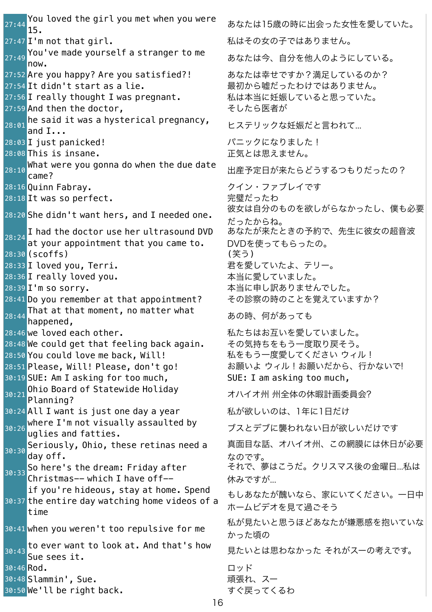$27:44$  You loved the girl you met when you were 27:47 I'm not that girl. https://www.mail.com/aid=27:47 I'm not that girl.  $27:49$  You've made yourself a stranger to me 27:52 Are you happy? Are you satisfied?! あなたは幸せですか?満足しているのか? 27:54 It didn't start as a lie. <br>コマンスティング 最初から嘘だったわけではありません。 27:56 I really thought I was pregnant. 私は本当に妊娠していると思っていた。 27:59 And then the doctor, スペット こうしたら医者が  $28:01$  he said it was a hysterical pregnancy,<br>and I... 28:03 I just panicked! ファイン パニックになりました! 28:08 This is insane. http://www.facebook.com/industrial/activity.com/industrial/ 28:10 <mark>What were you gonna do when the due date せ</mark><sub>28:10</sub> What were you gonna do when the due date 出産予定日が来たらどうするつもりだったの? 28:16 Quinn Fabray. <br>
28:16 Quinn Fabray. 28:18 It was so perfect. またのはない おりの 完璧だったわ 28:20 She didn't want hers, and I needed one. 28:24 I had the doctor use her ultrasound DVD at your appointment that you came to. 28:30 (scoffs) (笑う) 28:33 I loved you, Terri. およびのことをつけることを愛していたよ、テリー。 28:36 I really loved you. カンファイン 本当に愛していました。 28:39 I'm so sorry. <br>
コンティオントランプ 本当に申し訳ありませんでした。 28:41 Do you remember at that appointment? その診察の時のことを覚えていますか?  $28:44$  That at that moment, no matter what<br>happened, 28:46 we loved each other. <br>28:46 we loved each other. 28:48 We could get that feeling back again. その気持ちをもう一度取り戻そう。 28:50 You could love me back, Will! るいちをもう一度愛してください ウィル! 28:51 Please, Will! Please, don't go! お願いよ ウィル!お願いだから、行かないで! 30:19 SUE: Am I asking for too much, SUE: I am asking too much, 30:21 Ohio Board of Statewide Holiday<br>Planning? 30:24 All I want is just one day a year **そんが欲しいのは、1年に1日だけ** 30:26 <mark>where I'm not visually assaulted by </mark>ブスとデブに襲われない日が欲しいだけです<br>https://wglies.and fatties.  $\frac{1}{30:30}$  Seriously, Ohio, these retinas need a day off. 30:33 So here's the dream: Friday after Christmas-- which I have off-- 30:37 the entire day watching home videos of a if you're hideous, stay at home. Spend time 30:41 when you weren't too repulsive for me  $30:43$  to ever want to look at. And that's how<br>Sue sees it. 30:46 Rod. コッド コッド 30:48 Slammin', Sue. インファイン インストリック 頑張れ、スー 30:50 We'll be right back. しゅうしゃ すぐ戻ってくるわ

15. あなたは15歳の時に出会った女性を愛していた。 あなたは今、自分を他人のようにしている。 ヒステリックな妊娠だと言われて... 彼女は自分のものを欲しがらなかったし、僕も必要 だったからね。 あなたが来たときの予約で、先生に彼女の超音波 DVDを使ってもらったの。 あの時、何があっても オハイオ州 州全体の休暇計画委員会? 真面目な話、オハイオ州、この網膜には休日が必要 なのです。 それで、夢はこうだ。クリスマス後の金曜日...私は 休みですが... もしあなたが醜いなら、家にいてください。一日中 ホームビデオを見て過ごそう 私が見たいと思うほどあなたが嫌悪感を抱いていな かった頃の 見たいとは思わなかった それがスーの考えです。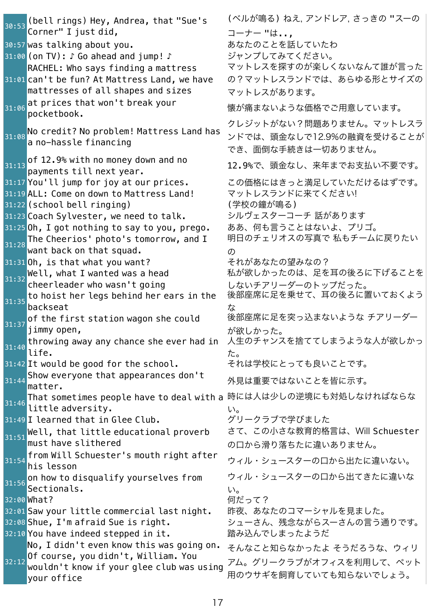$\frac{30:53}{10}$  (bell rings) Hey, Andrea, that "Sue's Corner" I just did, (ベルが鳴る) ねえ, アンドレア, さっきの "スーの コーナー "は.., 30:57 was talking about you. カルファン あなたのことを話していたわ 31:00 (on TV): ♪ Go ahead and jump! ♪ ジャンプしてみてください。 31:01 can't be fun? At Mattress Land, we have RACHEL: Who says finding a mattress mattresses of all shapes and sizes マットレスを探すのが楽しくないなんて誰が言った の?マットレスランドでは、あらゆる形とサイズの マットレスがあります。  $31:06$  at prices that won't break your 懐が痛まないような価格でご用意しています。  $\overline{\frac{1}{31:08}}$  No credit? No problem! Mattress Land has a no-hassle financing クレジットがない?問題ありません。マットレスラ ンドでは、頭金なしで12.9%の融資を受けることが でき、面倒な手続きは一切ありません。  $31:13$  of  $12.9%$  with no money down and no payments till next year. 12.9%で、頭金なし、来年までお支払い不要です。 31:17 You'll jump for joy at our prices. この価格にはきっと満足していただけるはずです。 31:19 ALL: Come on down to Mattress Land! マットレスランドに来てください! 31:22 (school bell ringing) インストリック (学校の鐘が鳴る) 31:23 Coach Sylvester, we need to talk. シルヴェスターコーチ 話があります 31:25 Oh, I got nothing to say to you, prego. ああ、何も言うことはないよ、プリゴ。  $31:28$  The Cheerios' photo's tomorrow, and I want back on that squad. 明日のチェリオスの写真で 私もチームに戻りたい の 31:31 Oh, is that what you want? <br>マれがあなたの望みなの?  $_{31:32}$  Well, what I wanted was a head cheerleader who wasn't going 私が欲しかったのは、足を耳の後ろに下げることを しないチアリーダーのトップだった。  $31:35$  to hoist her legs behind her ears in the backseat 後部座席に足を乗せて、耳の後ろに置いておくよう な  $31:37$  of the first station wagon she could jimmy open, 後部座席に足を突っ込まないような チアリーダー が欲しかった。  $31:40$  throwing away any chance she ever had in life. 人生のチャンスを捨ててしまうような人が欲しかっ た。 31:42 It would be good for the school. それは学校にとっても良いことです。 31:44 Show everyone that appearances don't matter. 外見は重要ではないことを皆に示す。 31:46 That sometimes people have to deal with a 時には人は少しの逆境にも対処しなければならな<br>31:46 Title little adversity. い。 31:49 I learned that in Glee Club. オンコングリークラブで学びました  $31:51$  Well, that little educational proverb must have slithered さて、この小さな教育的格言は、Will Schuester の口から滑り落ちたに違いありません。  $31:54$  from Will Schuester's mouth right after<br> $31:54$  his lesson ウィル・シュースターの口から出たに違いない。  $31:56$  on how to disqualify yourselves from Sectionals. ウィル・シュースターの口から出てきたに違いな い。 32:00 <mark>What?</mark> そのことをつけることをつけることをつけることになって? 32:01 Saw your little commercial last night. 昨夜、あなたのコマーシャルを見ました。 32:08 Shue, I'm afraid Sue is right. <br>シューさん、残念ながらスーさんの言う通りです。 32:10 You have indeed stepped in it. 踏み込んでしまったようだ 32:12<sup>Of</sup> course, you didn't, William. You No, I didn't even know this was going on. wouldn't know if your glee club was using your office そんなこと知らなかったよ そうだろうな、ウィリ アム。グリークラブがオフィスを利用して、ペット 用のウサギを飼育していても知らないでしょう。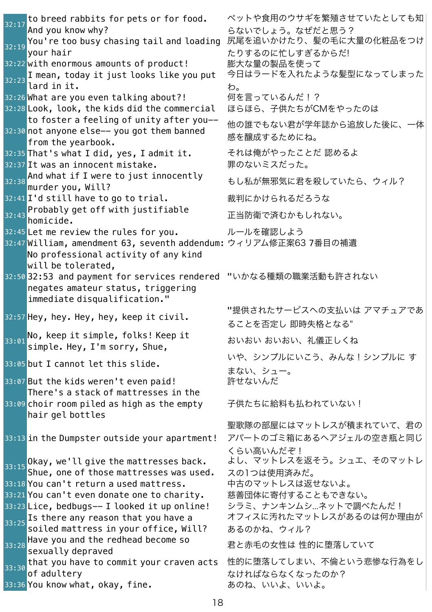$32:17$  to breed rabbits for pets or for food. And you know why? ペットや食用のウサギを繁殖させていたとしても知 らないでしょう。なぜだと思う?  $\overline{32:19}$  You're too busy chasing tail and loading your hair 尻尾を追いかけたり、髪の毛に大量の化粧品をつけ たりするのに忙しすぎるからだ! 32:22 with enormous amounts of product! 膨大な量の製品を使って 32:23 I mean, today it just looks like you put lard in it. 今日はラードを入れたような髪型になってしまった わ。 32:26 What are you even talking about?! 何を言っているんだ!? 32:28 Look, look, the kids did the commercial ほらほら、子供たちがCMをやったのは 32:30 <mark>not anyone else-- you got them banned</mark> to foster a feeling of unity after you- from the yearbook. 他の誰でもない君が学年誌から追放した後に、一体 感を醸成するためにね。 32:35 That's what I did, yes, I admit it. それは俺がやったことだ 認めるよ 32:37 It was an innocent mistake. アイナン 罪のないミスだった。 32:38 <mark>And what <code>if I</code> were to just innocently  $^{52:38}$  もし私が無邪気に君を殺していたら、ウィル?<br>murder you, Will?</mark> 32:41 I'd still have to go to trial. おもりにかけられるだろうな  $32:43$  Probably get off with justifiable<br>homicide. 正当防衛で済むかもしれない。 32:45 Let me review the rules for you. カールを確認しよう 32:47 William, amendment 63, seventh addendum: ウィリアム修正案637番目の補遺 32:50 32:53 and payment for services rendered "いかなる種類の職業活動も許されない No professional activity of any kind will be tolerated, negates amateur status, triggering immediate disqualification." 32:57 Hey, hey. Hey, hey, keep it civil. "提供されたサービスへの支払いは アマチュアであ ることを否定し 即時失格となる" 33:01 No, keep it simple, folks! Keep it NO, Keep It simple, TOlKS! Neep Il しんじょう おいおい おいおい、礼儀正しくね<br>simple. Hey, I'm sorry, Shue, 33:05 but I cannot let this slide. いや、シンプルにいこう、みんな!シンプルに す まない、シュー。 33:07 But the kids weren't even paid! 許せないんだ 33:09 choir room piled as high as the empty There's a stack of mattresses in the hair gel bottles 子供たちに給料も払われていない! 33:13 in the Dumpster outside your apartment! 聖歌隊の部屋にはマットレスが積まれていて、君の アパートのゴミ箱にあるヘアジェルの空き瓶と同じ くらい高いんだぞ!  $33:15$  Okay, we'll give the mattresses back. Shue, one of those mattresses was used. よし、マットレスを返そう。シュエ、そのマットレ スの1つは使用済みだ。 33:18 You can't return a used mattress. 中古のマットレスは返せないよ。 33:21 You can't even donate one to charity. 慈善団体に寄付することもできない。 33:23 Lice, bedbugs-- I looked it up online! シラミ、ナンキンムシ...ネットで調べたんだ!  $33:25$  Is there any reason that you have a soiled mattress in your office, Will? オフィスに汚れたマットレスがあるのは何か理由が あるのかね、ウィル?  $33:28$  Have you and the redhead become so<br>sexually depraved 君と赤毛の女性は 性的に堕落していて  $33:30$  that you have to commit your craven acts of adultery 性的に堕落してしまい、不倫という悲惨な行為をし なければならなくなったのか? 33:36 You know what, okay, fine. おりね、いいよ、いいよ。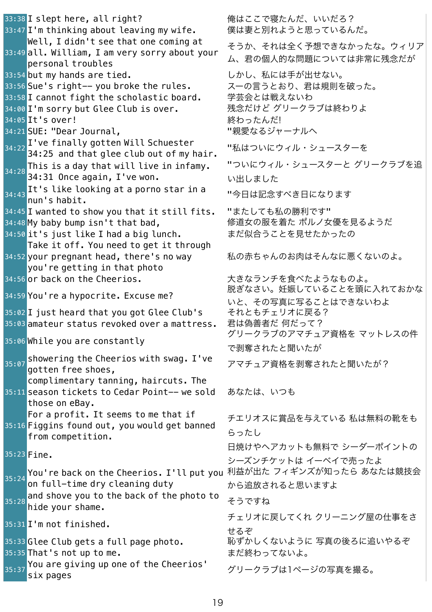33:38 I slept here, all right? アイナンス 俺はここで寝たんだ、いいだろ? 33:47 I'm thinking about leaving my wife. 業は妻と別れようと思っているんだ。 33:49 **all. William, I am very sorry about your** Well, I didn't see that one coming at personal troubles そうか、それは全く予想できなかったな。ウィリア ム、君の個人的な問題については非常に残念だが 33:54 but my hands are tied. <br>コンプロール しかし、私には手が出せない。 33:56 Sue's right-- you broke the rules. スーの言うとおり、君は規則を破った。 33:58 I cannot fight the scholastic board. 学芸会とは戦えないわ 34:00 I'm sorry but Glee Club is over. アングラブリークラブは終わりよ 34:05 It's over! ろんだ! 34:21 SUE: "Dear Journal, "アンスコンコンコンコンコンスタンターナルへ 34:22 I've finally gotten Will Schuester - ve i finatty gotten witt senuester - - - - "私はついにウィル・シュースターを<br>34:25 and that glee club out of my hair.  $34:28$  This is a day that will live in infamy. 34:31 Once again, I've won. "ついにウィル・シュースターと グリークラブを追 い出しました 34:43 <mark>It's like looking at a porno star in a</mark> <br>34:43 <mark>nun's habit.</mark> 34:45 I wanted to show you that it still fits. "またしても私の勝利です" 34:48 My baby bump isn't that bad, <br>タインコントンの服を着た ポルノ女優を見るようだ 34:50 it's just like I had a big lunch. まだ似合うことを見せたかったの 34:52 your pregnant head, there's no way Take it off. You need to get it through you're getting in that photo 私の赤ちゃんのお肉はそんなに悪くないのよ。 34:56 or back on the Cheerios. <br>スキンチを食べたようなものよ。 34:59 You're a hypocrite. Excuse me? アンチング 脱ぎなさい。妊娠していることを頭に入れておかな いと、その写真に写ることはできないわよ 35:02 I just heard that you got Glee Club's それともチェリオに戻る? 35:03 amateur status revoked over a mattress. 君は偽善者だ 何だって? |<br>|35:06 While you are constantly オーランクリークラブのアマチュア資格を マットレスの件 で剥奪されたと聞いたが  $\frac{35:07}{9}$ showering the Cheerios with swag.I've アマチュア資格を剥奪されたと聞いたが?<br>gotten free shoes, 35:11 season tickets to Cedar Point-- we sold complimentary tanning, haircuts. The those on eBay. あなたは、いつも 35:16 Figgins found out, you would get banned For a profit. It seems to me that if from competition. チエリオスに賞品を与えている 私は無料の靴をも らったし 35:23 Fine. 日焼けやヘアカットも無料で シーダーポイントの シーズンチケットは イーベイで売ったよ 35:24 <mark>You're back on the Cheerios.I'll put you</mark> 利益が出た フィギンズが知ったら あなたは競技会 on full-time dry cleaning duty から追放されると思いますよ  $35:28$  and shove you to the back of the photo to and shove you to the back of the photo to zうですね ss:31 I'm not finished. カンファンファール チェリオに戻してくれ クリーニング屋の仕事をさ せるぞ 35:33 Glee Club gets a full page photo. アジックルずかしくないように 写真の後ろに追いやるぞ 35:35 That's not up to me. https://www.assimus.com/assimus.com/assimus.com/assimus.com/assimus.com/ You are giving up one of the Cheerios'<br>six pages グリークラブは1ページの写真を撮る。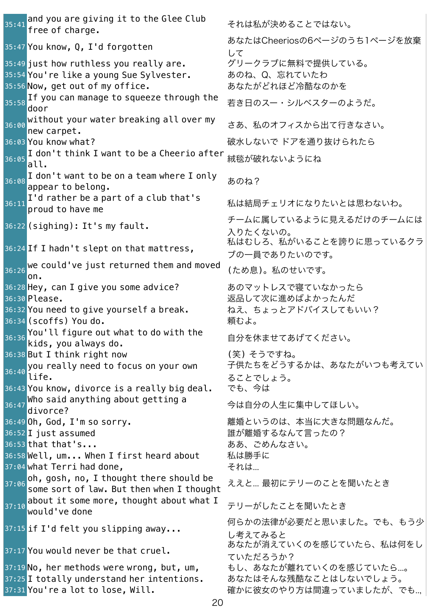$35:41$  and you are giving it to the Glee Club<br>free of charge. それは私が決めることではない。 35:47 You know, Q, I'd forgotten あなたはCheeriosの6ページのうち1ページを放棄 して 35:49 just how ruthless you really are. オリークラブに無料で提供している。 35:54 You're like a young Sue Sylvester. あのね、Q、忘れていたわ 35:56 Now, get out of my office. <br>スペンストンのなんなんだいどれほど冷酷なのかを 35:58 If you can manage to squeeze through the door 若き日のスー・シルベスターのようだ。  $36:00$  without your water breaking all over my<br>new carpet. さあ、私のオフィスから出て行きなさい。 36:03 You know what? インパン インパン おおしないで ドアを通り抜けられたら 36:05 <mark>I don't think I want to be a Cheerio after</mark> 絨毯が破れないようにね<br>|**all.** 36:08 I don't want to be on a team where I only<br>appear to belong. 36:11 I'd rather be a part of a club that's 私は結局チェリオになりたいとは思わないわ。<br>proud to have me s6:22 (sighing): It's my fault. インチームに属しているように見えるだけのチームには 入りたくないの。 36:24 If <sup>I</sup> hadn't slept on that mattress, 私はむしろ、私がいることを誇りに思っているクラ ブの一員でありたいのです。  $\frac{1}{36:26}$  we could've just returned them and moved  $\overline{\text{lon}}$ . (ため息)。私のせいです。 36:28 Hey, can I give you some advice? あのマットレスで寝ていなかったら 36:30 Please. 
<br>
36:30 Please. 36:32 You need to give yourself a break. ねえ、ちょっとアドバイスしてもいい? 36:34 (scoffs) You do. いちかんなおり 頼むよ。  $36:36$  You'll figure out what to do with the<br> $36:36$  kids, you always do. 自分を休ませてあげてください。 36:38 But I think right now (笑) そうですね。 36:40 you really need to focus on your own life. 子供たちをどうするかは、あなたがいつも考えてい ることでしょう。 36:43 You know, divorce is a really big deal. でも、今は 36:47 <mark>Who said anything about getting a carral 今は自分の人生に集中してほしい。</mark><br>divorce? 36:49 Oh, God, I'm so sorry. <br>アンプロンのアプロントンのは、本当に大きな問題なんだ。 36:52 I just assumed インプレー おんな まんで言ったの? 36:53 that that's... http://www.facebook.com/distance/entriestational/actions.com/ 36:58 Well, um... When I first heard about 私は勝手に 37:04 what Terri had done, and the total それは...  $\overline{\frac{37:06}{37:06}}$ oh, gosh, no, I thought there should be some sort of law. But then when <sup>I</sup> thought ええと... 最初にテリーのことを聞いたとき  $37:10$  about it some more, thought about what I<br>would've done テリーがしたことを聞いたとき 37:15 if I'd felt you slipping away... 何らかの法律が必要だと思いました。でも、もう少 し考えてみると 37:17 You would never be that cruel. あなたが消えていくのを感じていたら、私は何をし ていただろうか? 37:19 No, her methods were wrong, but, um, thu、あなたが離れていくのを感じていたら...。 37:25 I totally understand her intentions. あなたはそんな残酷なことはしないでしょう。 37:31 You're a lot to lose, Will. <br>
The Mann Mark Mucrophy Court Magnor Cost., でも...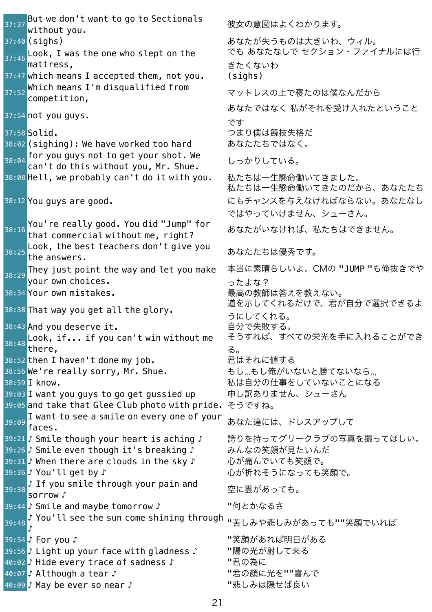$37:37$  But we don't want to go to Sectionals<br>without you. 彼女の意図はよくわかります。 37:40 (sighs) まずまちゃっとものはあなたが失うものは大きいわ、ウィル。  $\overline{37:46}$  Look, I was the one who slept on the mattress, きたくないわ  $37:47$  which means I accepted them, not you. (sighs) 37:52 <mark>Which means I'm disqualified from</mark> マットレスの上で寝たのは僕なんだから<br><mark>competition,</mark> 37:54 not you guys. です 37:58 Solid. およびのおよびのおよびのおよびのおよびのおものは、 つまり僕は競技失格だ 38:02 (sighing): We have worked too hard あなたたちではなく。  $\overline{\frac{38:04}{38:04}}$  for you guys not to get your shot. We ror you guys not to get your shot. inc.<br>can't do this without you, Mr. Shue. しっかりしている。 38:08 Hell, we probably can't do it with you. 私たちは一生懸命働いてきました。 38:12 You guys are good. 38:16 You're really good. You did "Jump" for あなたがいなければ、私たちはできません。<br>that commercial without me, right?  $\begin{array}{ccc} \texttt{38:25}\ \texttt{Look}\ \texttt{the} \ \texttt{abest} \ \texttt{teaches}\ \texttt{don't} \ \texttt{give}\ \texttt{you} \ \texttt{b} \ \texttt{b} \ \texttt{c} \ \texttt{d} \ \texttt{b} \end{array}$  $\sqrt{\frac{38:29}{38:29}}$ They just point the way and let you make your own choices. ったよな? 38:34 Your own mistakes. およびのおよびのおよびのおよびのおおいて 38:38 That way you get all the glory. <br>38:38 That way you get all the glory. 38:43 And you deserve it. しかしましたのはない 自分で失敗する。 38:48 Look, if... if you can't win without me there, る。 38:52 then I haven't done my job. オンチョン 君はそれに値する 38:56 We're really sorry, Mr. Shue. <br>おし...もし俺がいないと勝てないなら... 38:59 I know. インプレント インパン およい およいの仕事をしていないことになる 39:03 I want you guys to go get gussied up 申し訳ありません、シューさん 39:05 and take that Glee Club photo with pride. そうですね。 39:09 I want to see a smile on every one of your -I want to see a smitte on every one or your - あなた達には、ドレスアップして<br>faces. 39:21 ♪ Smile though your heart is aching ♪ 誇りを持ってグリークラブの写真を撮ってほしい。 39:26 ♪ Smile even though it's breaking ♪ みんなの笑顔が見たいんだ 39:31 ♪ When there are clouds in the sky ♪ 心が痛んでいても笑顔で。 39:36 ♪ You'll get by ♪ しんなん しんが折れそうになっても笑顔で。 39:38 Sorrow ♪ smile through your pain and 空に雲があっても。<br>sorrow ♪ 39:44 ♪ Smile and maybe tomorrow ♪ "何とかなるさ 39:48 ♪ You'll see the sun come shining through <sub>"苦しみや悲しみがあっても""笑顔でいれば<br>♪</sub> 39:54 ♪ For you ♪ ファイン アンストランプ アンス 『笑顔があれば明日がある 39:56 ♪ Light up your face with gladness ♪ "陽の光が射して来る 40:02 ♪ Hide every trace of sadness ♪ "君の為に 40:07 ♪ Although a tear ♪ アイディング エム エム エム "君の顔に光を""喜んで |40:09 ♪ May be ever so near ♪ アイディング コンピュー "悲しみは隠せば良い

でも あなたなしで セクション・ファイナルには行 あなたではなく 私がそれを受け入れたということ 私たちは一生懸命働いてきたのだから、あなたたち にもチャンスを与えなければならない。あなたなし ではやっていけません、シューさん。 本当に素晴らしいよ。CMの "JUMP "も俺抜きでや うにしてくれる。 そうすれば、すべての栄光を手に入れることができ

- 
-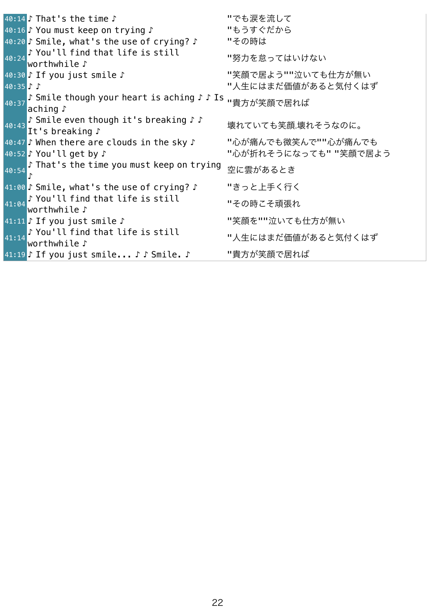|40:14 ♪ That's the time ♪ アイディング こうしゃ いっち涙を流して 40:16 ♪ You must keep on trying ♪ アイコンピュータリング りょうすぐだから 40:20 ♪ Smile, what's the use of crying? ♪ "その時は 40:24 ♪ You'll find that life is still → "Ou" cc ring chac circ is sciece" --------- "努力を怠ってはいけない<br>|worthwhile ♪ 40:30 ♪ If you just smile ♪ "笑顔で居よう""泣いても仕方が無い 40:35 ♪ ♪ "人生にはまだ価値があると気付くはず 40:37 ♪ Smile though your heart is aching♪♪Is <sub>"貴方が笑顔で居れば<br>aching♪</sub> 40:43 ♪ Smile even though it's breaking ♪ ♪ , ɔiii I tu even though It ; breakIng;; 壊れていても笑顔.壊れそうなのに。<br>It 's breaking ♪ 40:47 ♪ When there are clouds in the sky ♪ せいが痛んでも微笑んで""心が痛んでも 40:52 ♪ You'll get by ♪ アイコン アンディング "心が折れそうになっても" "笑顔で居よう 40:54 ♪ That's the time you must keep on trying <sub>空に雲があるとき</sub> 41:00 ♪ Smile, what's the use of crying? ♪ "きっと上手く行く 41:04 ♪ You'll find that life is still worthwhile ♪ "その時こそ頑張れ 41:11 ♪ If you just smile ♪ せいしん せいのえ "笑顔を""泣いても仕方が無い 41:14 ♪ You'll find that life is still → Tou it Timu that tire is stitt<br>worthwhile ♪ 41:19 ♪ If you just smile... ♪ ♪ Smile. ♪ せ貴方が笑顔で居れば